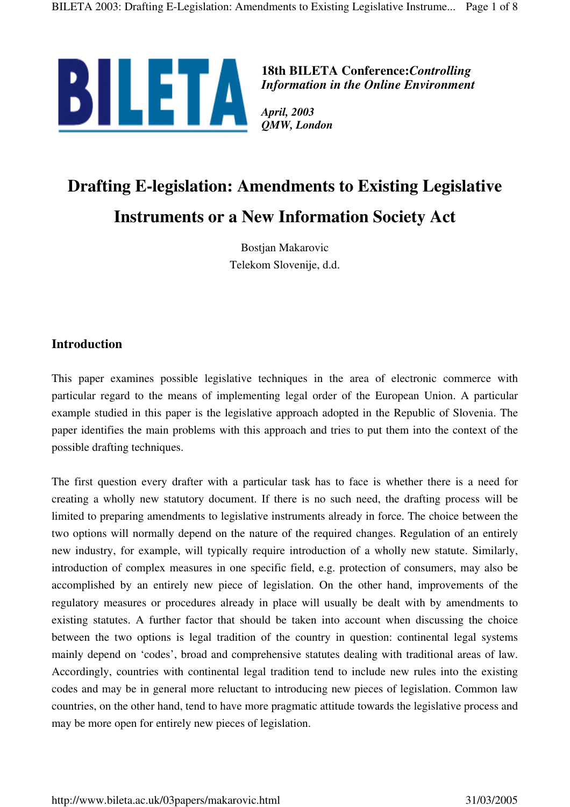

**18th BILETA Conference:***Controlling Information in the Online Environment*

*April, 2003 QMW, London*

# **Drafting E-legislation: Amendments to Existing Legislative Instruments or a New Information Society Act**

Bostjan Makarovic Telekom Slovenije, d.d.

## **Introduction**

This paper examines possible legislative techniques in the area of electronic commerce with particular regard to the means of implementing legal order of the European Union. A particular example studied in this paper is the legislative approach adopted in the Republic of Slovenia. The paper identifies the main problems with this approach and tries to put them into the context of the possible drafting techniques.

The first question every drafter with a particular task has to face is whether there is a need for creating a wholly new statutory document. If there is no such need, the drafting process will be limited to preparing amendments to legislative instruments already in force. The choice between the two options will normally depend on the nature of the required changes. Regulation of an entirely new industry, for example, will typically require introduction of a wholly new statute. Similarly, introduction of complex measures in one specific field, e.g. protection of consumers, may also be accomplished by an entirely new piece of legislation. On the other hand, improvements of the regulatory measures or procedures already in place will usually be dealt with by amendments to existing statutes. A further factor that should be taken into account when discussing the choice between the two options is legal tradition of the country in question: continental legal systems mainly depend on 'codes', broad and comprehensive statutes dealing with traditional areas of law. Accordingly, countries with continental legal tradition tend to include new rules into the existing codes and may be in general more reluctant to introducing new pieces of legislation. Common law countries, on the other hand, tend to have more pragmatic attitude towards the legislative process and may be more open for entirely new pieces of legislation.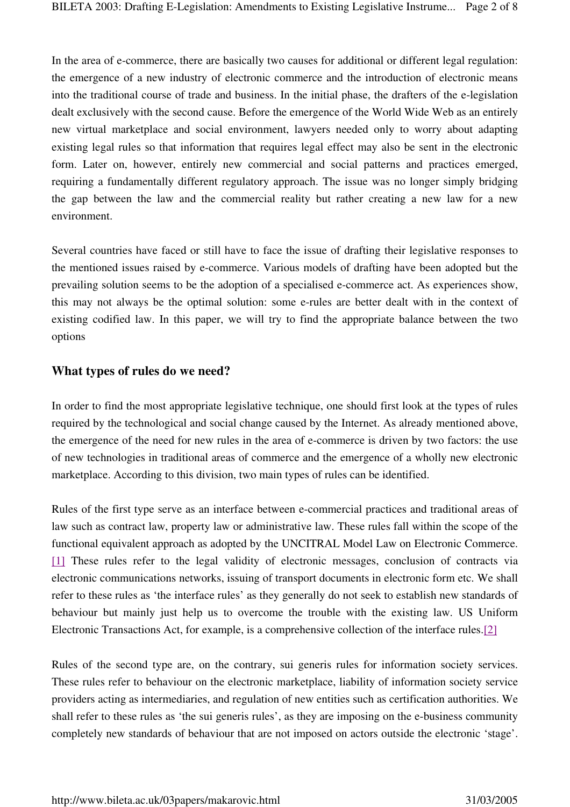In the area of e-commerce, there are basically two causes for additional or different legal regulation: the emergence of a new industry of electronic commerce and the introduction of electronic means into the traditional course of trade and business. In the initial phase, the drafters of the e-legislation dealt exclusively with the second cause. Before the emergence of the World Wide Web as an entirely new virtual marketplace and social environment, lawyers needed only to worry about adapting existing legal rules so that information that requires legal effect may also be sent in the electronic form. Later on, however, entirely new commercial and social patterns and practices emerged, requiring a fundamentally different regulatory approach. The issue was no longer simply bridging the gap between the law and the commercial reality but rather creating a new law for a new environment.

Several countries have faced or still have to face the issue of drafting their legislative responses to the mentioned issues raised by e-commerce. Various models of drafting have been adopted but the prevailing solution seems to be the adoption of a specialised e-commerce act. As experiences show, this may not always be the optimal solution: some e-rules are better dealt with in the context of existing codified law. In this paper, we will try to find the appropriate balance between the two options

#### **What types of rules do we need?**

In order to find the most appropriate legislative technique, one should first look at the types of rules required by the technological and social change caused by the Internet. As already mentioned above, the emergence of the need for new rules in the area of e-commerce is driven by two factors: the use of new technologies in traditional areas of commerce and the emergence of a wholly new electronic marketplace. According to this division, two main types of rules can be identified.

Rules of the first type serve as an interface between e-commercial practices and traditional areas of law such as contract law, property law or administrative law. These rules fall within the scope of the functional equivalent approach as adopted by the UNCITRAL Model Law on Electronic Commerce. [1] These rules refer to the legal validity of electronic messages, conclusion of contracts via electronic communications networks, issuing of transport documents in electronic form etc. We shall refer to these rules as 'the interface rules' as they generally do not seek to establish new standards of behaviour but mainly just help us to overcome the trouble with the existing law. US Uniform Electronic Transactions Act, for example, is a comprehensive collection of the interface rules.[2]

Rules of the second type are, on the contrary, sui generis rules for information society services. These rules refer to behaviour on the electronic marketplace, liability of information society service providers acting as intermediaries, and regulation of new entities such as certification authorities. We shall refer to these rules as 'the sui generis rules', as they are imposing on the e-business community completely new standards of behaviour that are not imposed on actors outside the electronic 'stage'.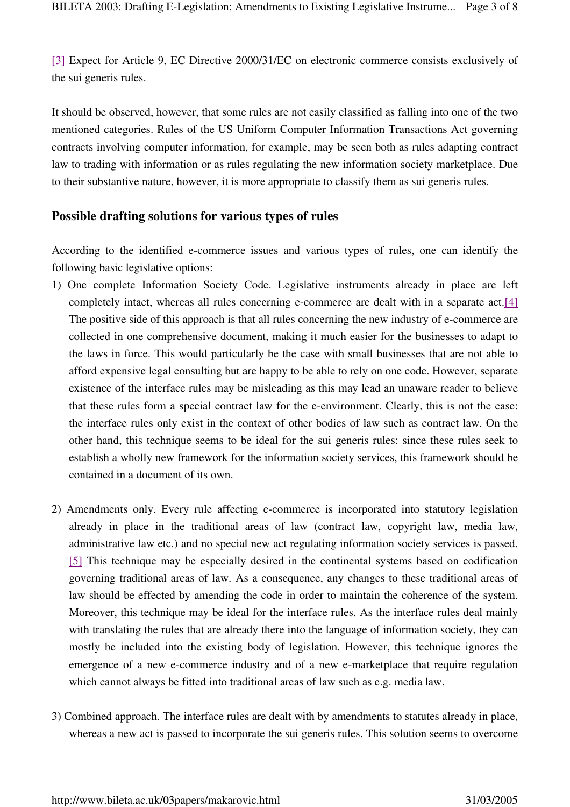[3] Expect for Article 9, EC Directive 2000/31/EC on electronic commerce consists exclusively of the sui generis rules.

It should be observed, however, that some rules are not easily classified as falling into one of the two mentioned categories. Rules of the US Uniform Computer Information Transactions Act governing contracts involving computer information, for example, may be seen both as rules adapting contract law to trading with information or as rules regulating the new information society marketplace. Due to their substantive nature, however, it is more appropriate to classify them as sui generis rules.

#### **Possible drafting solutions for various types of rules**

According to the identified e-commerce issues and various types of rules, one can identify the following basic legislative options:

- 1) One complete Information Society Code. Legislative instruments already in place are left completely intact, whereas all rules concerning e-commerce are dealt with in a separate act.[4] The positive side of this approach is that all rules concerning the new industry of e-commerce are collected in one comprehensive document, making it much easier for the businesses to adapt to the laws in force. This would particularly be the case with small businesses that are not able to afford expensive legal consulting but are happy to be able to rely on one code. However, separate existence of the interface rules may be misleading as this may lead an unaware reader to believe that these rules form a special contract law for the e-environment. Clearly, this is not the case: the interface rules only exist in the context of other bodies of law such as contract law. On the other hand, this technique seems to be ideal for the sui generis rules: since these rules seek to establish a wholly new framework for the information society services, this framework should be contained in a document of its own.
- 2) Amendments only. Every rule affecting e-commerce is incorporated into statutory legislation already in place in the traditional areas of law (contract law, copyright law, media law, administrative law etc.) and no special new act regulating information society services is passed. [5] This technique may be especially desired in the continental systems based on codification governing traditional areas of law. As a consequence, any changes to these traditional areas of law should be effected by amending the code in order to maintain the coherence of the system. Moreover, this technique may be ideal for the interface rules. As the interface rules deal mainly with translating the rules that are already there into the language of information society, they can mostly be included into the existing body of legislation. However, this technique ignores the emergence of a new e-commerce industry and of a new e-marketplace that require regulation which cannot always be fitted into traditional areas of law such as e.g. media law.
- 3) Combined approach. The interface rules are dealt with by amendments to statutes already in place, whereas a new act is passed to incorporate the sui generis rules. This solution seems to overcome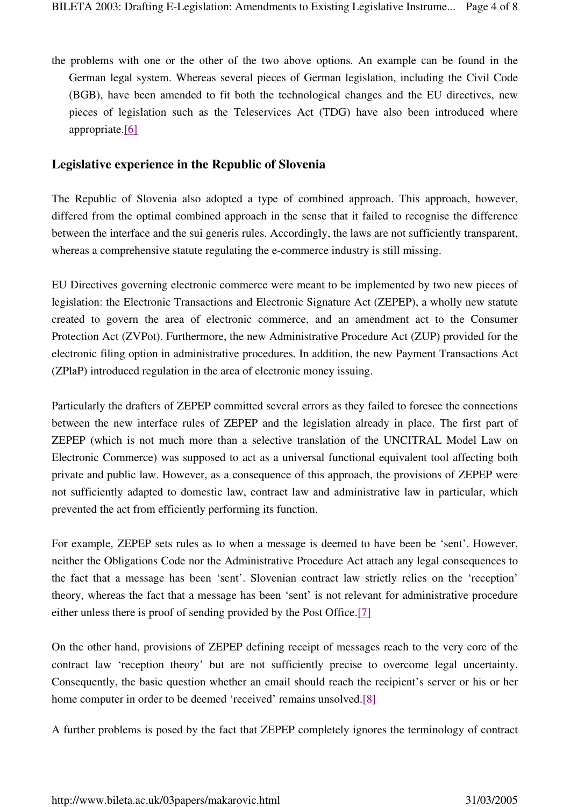the problems with one or the other of the two above options. An example can be found in the German legal system. Whereas several pieces of German legislation, including the Civil Code (BGB), have been amended to fit both the technological changes and the EU directives, new pieces of legislation such as the Teleservices Act (TDG) have also been introduced where appropriate.[6]

#### **Legislative experience in the Republic of Slovenia**

The Republic of Slovenia also adopted a type of combined approach. This approach, however, differed from the optimal combined approach in the sense that it failed to recognise the difference between the interface and the sui generis rules. Accordingly, the laws are not sufficiently transparent, whereas a comprehensive statute regulating the e-commerce industry is still missing.

EU Directives governing electronic commerce were meant to be implemented by two new pieces of legislation: the Electronic Transactions and Electronic Signature Act (ZEPEP), a wholly new statute created to govern the area of electronic commerce, and an amendment act to the Consumer Protection Act (ZVPot). Furthermore, the new Administrative Procedure Act (ZUP) provided for the electronic filing option in administrative procedures. In addition, the new Payment Transactions Act (ZPlaP) introduced regulation in the area of electronic money issuing.

Particularly the drafters of ZEPEP committed several errors as they failed to foresee the connections between the new interface rules of ZEPEP and the legislation already in place. The first part of ZEPEP (which is not much more than a selective translation of the UNCITRAL Model Law on Electronic Commerce) was supposed to act as a universal functional equivalent tool affecting both private and public law. However, as a consequence of this approach, the provisions of ZEPEP were not sufficiently adapted to domestic law, contract law and administrative law in particular, which prevented the act from efficiently performing its function.

For example, ZEPEP sets rules as to when a message is deemed to have been be 'sent'. However, neither the Obligations Code nor the Administrative Procedure Act attach any legal consequences to the fact that a message has been 'sent'. Slovenian contract law strictly relies on the 'reception' theory, whereas the fact that a message has been 'sent' is not relevant for administrative procedure either unless there is proof of sending provided by the Post Office.[7]

On the other hand, provisions of ZEPEP defining receipt of messages reach to the very core of the contract law 'reception theory' but are not sufficiently precise to overcome legal uncertainty. Consequently, the basic question whether an email should reach the recipient's server or his or her home computer in order to be deemed 'received' remains unsolved.[8]

A further problems is posed by the fact that ZEPEP completely ignores the terminology of contract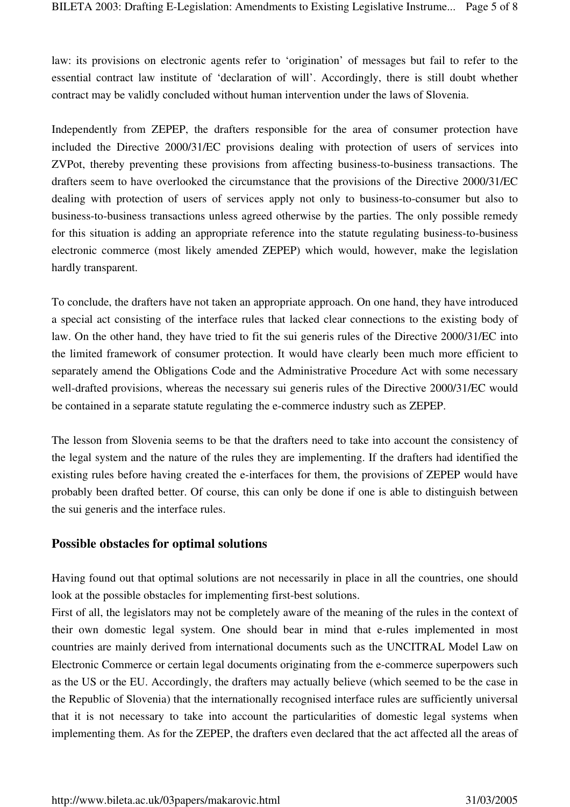law: its provisions on electronic agents refer to 'origination' of messages but fail to refer to the essential contract law institute of 'declaration of will'. Accordingly, there is still doubt whether contract may be validly concluded without human intervention under the laws of Slovenia.

Independently from ZEPEP, the drafters responsible for the area of consumer protection have included the Directive 2000/31/EC provisions dealing with protection of users of services into ZVPot, thereby preventing these provisions from affecting business-to-business transactions. The drafters seem to have overlooked the circumstance that the provisions of the Directive 2000/31/EC dealing with protection of users of services apply not only to business-to-consumer but also to business-to-business transactions unless agreed otherwise by the parties. The only possible remedy for this situation is adding an appropriate reference into the statute regulating business-to-business electronic commerce (most likely amended ZEPEP) which would, however, make the legislation hardly transparent.

To conclude, the drafters have not taken an appropriate approach. On one hand, they have introduced a special act consisting of the interface rules that lacked clear connections to the existing body of law. On the other hand, they have tried to fit the sui generis rules of the Directive 2000/31/EC into the limited framework of consumer protection. It would have clearly been much more efficient to separately amend the Obligations Code and the Administrative Procedure Act with some necessary well-drafted provisions, whereas the necessary sui generis rules of the Directive 2000/31/EC would be contained in a separate statute regulating the e-commerce industry such as ZEPEP.

The lesson from Slovenia seems to be that the drafters need to take into account the consistency of the legal system and the nature of the rules they are implementing. If the drafters had identified the existing rules before having created the e-interfaces for them, the provisions of ZEPEP would have probably been drafted better. Of course, this can only be done if one is able to distinguish between the sui generis and the interface rules.

#### **Possible obstacles for optimal solutions**

Having found out that optimal solutions are not necessarily in place in all the countries, one should look at the possible obstacles for implementing first-best solutions.

First of all, the legislators may not be completely aware of the meaning of the rules in the context of their own domestic legal system. One should bear in mind that e-rules implemented in most countries are mainly derived from international documents such as the UNCITRAL Model Law on Electronic Commerce or certain legal documents originating from the e-commerce superpowers such as the US or the EU. Accordingly, the drafters may actually believe (which seemed to be the case in the Republic of Slovenia) that the internationally recognised interface rules are sufficiently universal that it is not necessary to take into account the particularities of domestic legal systems when implementing them. As for the ZEPEP, the drafters even declared that the act affected all the areas of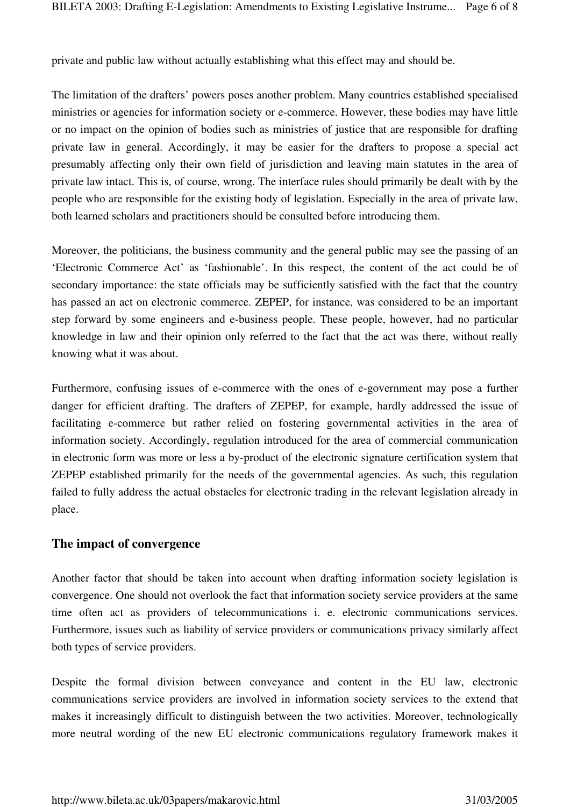private and public law without actually establishing what this effect may and should be.

The limitation of the drafters' powers poses another problem. Many countries established specialised ministries or agencies for information society or e-commerce. However, these bodies may have little or no impact on the opinion of bodies such as ministries of justice that are responsible for drafting private law in general. Accordingly, it may be easier for the drafters to propose a special act presumably affecting only their own field of jurisdiction and leaving main statutes in the area of private law intact. This is, of course, wrong. The interface rules should primarily be dealt with by the people who are responsible for the existing body of legislation. Especially in the area of private law, both learned scholars and practitioners should be consulted before introducing them.

Moreover, the politicians, the business community and the general public may see the passing of an 'Electronic Commerce Act' as 'fashionable'. In this respect, the content of the act could be of secondary importance: the state officials may be sufficiently satisfied with the fact that the country has passed an act on electronic commerce. ZEPEP, for instance, was considered to be an important step forward by some engineers and e-business people. These people, however, had no particular knowledge in law and their opinion only referred to the fact that the act was there, without really knowing what it was about.

Furthermore, confusing issues of e-commerce with the ones of e-government may pose a further danger for efficient drafting. The drafters of ZEPEP, for example, hardly addressed the issue of facilitating e-commerce but rather relied on fostering governmental activities in the area of information society. Accordingly, regulation introduced for the area of commercial communication in electronic form was more or less a by-product of the electronic signature certification system that ZEPEP established primarily for the needs of the governmental agencies. As such, this regulation failed to fully address the actual obstacles for electronic trading in the relevant legislation already in place.

#### **The impact of convergence**

Another factor that should be taken into account when drafting information society legislation is convergence. One should not overlook the fact that information society service providers at the same time often act as providers of telecommunications i. e. electronic communications services. Furthermore, issues such as liability of service providers or communications privacy similarly affect both types of service providers.

Despite the formal division between conveyance and content in the EU law, electronic communications service providers are involved in information society services to the extend that makes it increasingly difficult to distinguish between the two activities. Moreover, technologically more neutral wording of the new EU electronic communications regulatory framework makes it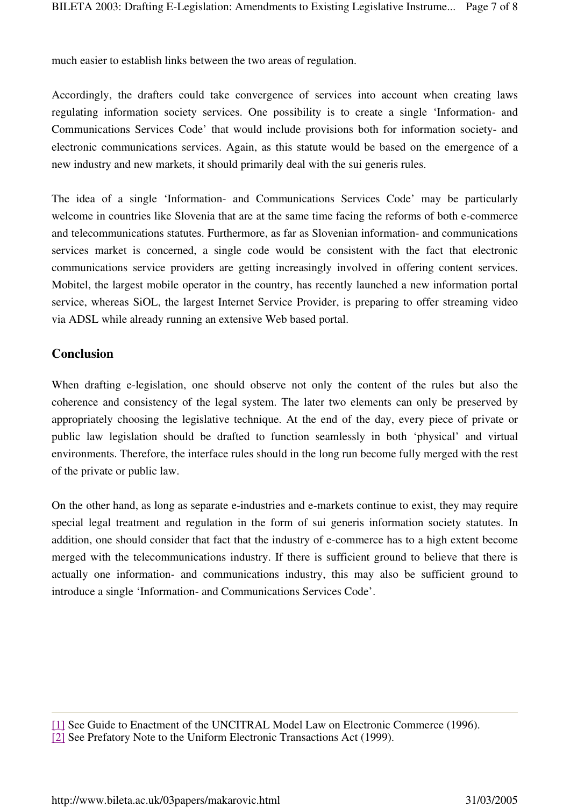much easier to establish links between the two areas of regulation.

Accordingly, the drafters could take convergence of services into account when creating laws regulating information society services. One possibility is to create a single 'Information- and Communications Services Code' that would include provisions both for information society- and electronic communications services. Again, as this statute would be based on the emergence of a new industry and new markets, it should primarily deal with the sui generis rules.

The idea of a single 'Information- and Communications Services Code' may be particularly welcome in countries like Slovenia that are at the same time facing the reforms of both e-commerce and telecommunications statutes. Furthermore, as far as Slovenian information- and communications services market is concerned, a single code would be consistent with the fact that electronic communications service providers are getting increasingly involved in offering content services. Mobitel, the largest mobile operator in the country, has recently launched a new information portal service, whereas SiOL, the largest Internet Service Provider, is preparing to offer streaming video via ADSL while already running an extensive Web based portal.

### **Conclusion**

When drafting e-legislation, one should observe not only the content of the rules but also the coherence and consistency of the legal system. The later two elements can only be preserved by appropriately choosing the legislative technique. At the end of the day, every piece of private or public law legislation should be drafted to function seamlessly in both 'physical' and virtual environments. Therefore, the interface rules should in the long run become fully merged with the rest of the private or public law.

On the other hand, as long as separate e-industries and e-markets continue to exist, they may require special legal treatment and regulation in the form of sui generis information society statutes. In addition, one should consider that fact that the industry of e-commerce has to a high extent become merged with the telecommunications industry. If there is sufficient ground to believe that there is actually one information- and communications industry, this may also be sufficient ground to introduce a single 'Information- and Communications Services Code'.

<sup>[1]</sup> See Guide to Enactment of the UNCITRAL Model Law on Electronic Commerce (1996). [2] See Prefatory Note to the Uniform Electronic Transactions Act (1999).